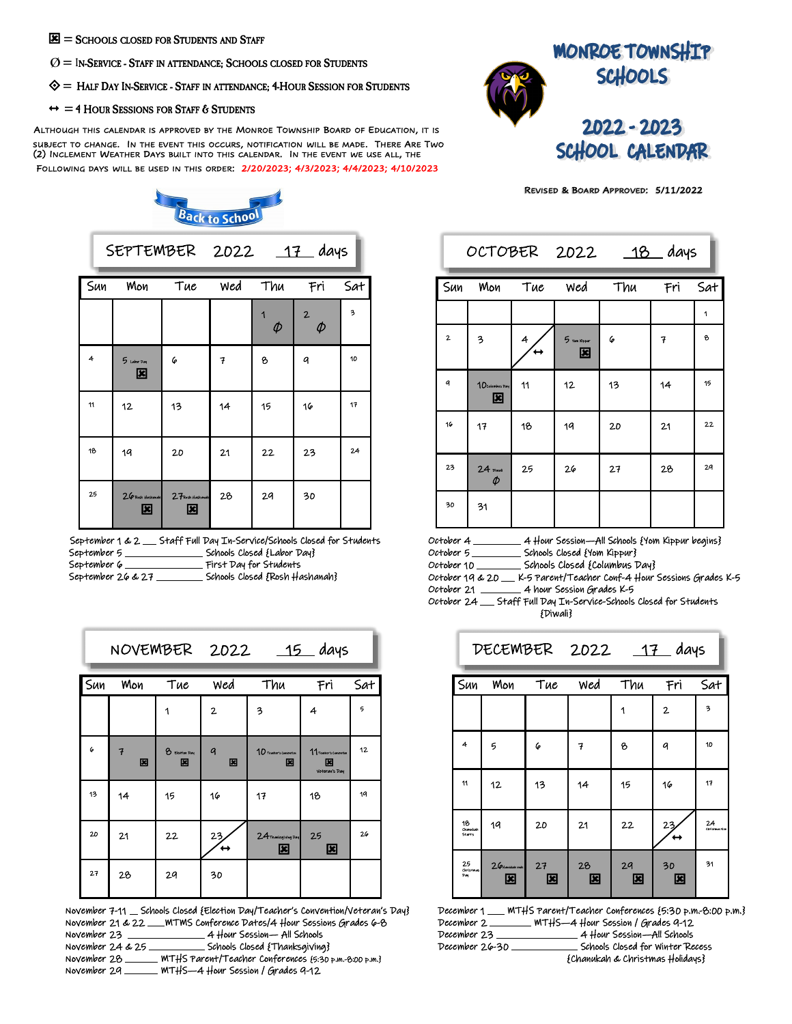- $\mathbf{E}$  = SCHOOLS CLOSED FOR STUDENTS AND STAFF
- $O =$  In-Service Staff in attendance; Schools closed for Students
- $\diamondsuit$  = Half Day In-Service Staff in attendance; 4-Hour Session for Students
- $\leftrightarrow$  = 4 HOUR SESSIONS FOR STAFF & STUDENTS

ALTHOUGH THIS CALENDAR IS APPROVED BY THE MONROE TOWNSHIP BOARD OF EDUCATION, IT IS SUBJECT TO CHANGE. IN THE EVENT THIS OCCURS, NOTIFICATION WILL BE MADE. THERE ARE TWO SUBJECT TO CHANGE. THE THE EVENT THIS OCCURS, NOTIFICATION WILL BE MADE. THERE FIRE<br>(2) INCLEMENT WEATHER DAYS BUILT INTO THIS CALENDAR. IN THE EVENT WE USE ALL, THE FOLLOWING DAYS WILL BE USED IN THIS ORDER: 2/20/2023; 4/3/2023; 4/4/2023; 4/10/2023

**Back to School** 



OCTOBER 2022 18 days

REVISED & BOARD APPROVED: 5/11/2022

|     | SEPTEMBER 2022 17 days |                       |     |             |                          |     |
|-----|------------------------|-----------------------|-----|-------------|--------------------------|-----|
| Sun | Mon                    | Tue                   | wed | Thu         | Fri                      | Sat |
|     |                        |                       |     | 1<br>$\phi$ | $\overline{2}$<br>$\phi$ | 3   |
| 4   | 5 Leher Day<br>図       | 6                     | 7   | 8           | q                        | 10  |
| 11  | 12                     | 13                    | 14  | 15          | 16                       | 17  |
| 18  | 19                     | 20                    | 21  | 22          | 23                       | 24  |
| 25  | 26 Rosh Hashaudh<br>図  | 27 Posh Hashaudh<br>図 | 28  | 29          | 30                       |     |

|                   | September 1 & 2 __ Staff Full Day In-Service/Schools Closed for Students |
|-------------------|--------------------------------------------------------------------------|
| September 5       | Schools Closed {Labor Day}                                               |
| September 6       | First Day for Students                                                   |
| September 26 & 27 | Schools Closed {Rosh Hashanah}                                           |

| Sun<br>Mon | Tue                   | wed              | Thu                     | Fri                    | Sat                                                    |
|------------|-----------------------|------------------|-------------------------|------------------------|--------------------------------------------------------|
|            | 1                     | $\mathbf{2}$     | 3                       | 4                      | 5                                                      |
| 7          | <b>B</b> Election Day | $\boldsymbol{a}$ | 10 Teacher's Concestion | 11 Toucher's Commertin | 12                                                     |
| 14         | 15                    | 16               | 17                      | Votoraw's Day<br>18    | 19                                                     |
| 21         | 22                    | 23,              |                         | 25                     | 26                                                     |
| 28         | 2 <sub>q</sub>        | 30               |                         |                        |                                                        |
|            | 図                     | 図                | 図<br>$\leftrightarrow$  | 図<br>図                 | NOVEMBER 2022 15 days<br>図<br>24 Thanksgiving Day<br>図 |

November 7-11 Schools Closed {Election Day/Teacher's Convention/Veteran's Day} November 21 & 22 \_\_\_ MTMS Conference Dates/4 Hour Sessions Grades 6-8 November 23 4 Hour Session— All Schools Schools Closed {Thanksgiving} November 28 \_\_\_\_\_ MTHS Parent/Teacher Conferences {5:30 p.m.-8:00 p.m.} November 29 MTHS—4 Hour Session / Grades 9-12

| $\overline{\mathsf{Sun}}$ | Mon                   | Tue            | wed                | Thu | Fri | Sat |
|---------------------------|-----------------------|----------------|--------------------|-----|-----|-----|
|                           |                       |                |                    |     |     | 1   |
| $\overline{\mathbf{2}}$   | 3                     | $\overline{4}$ | 5 Youn Kipper<br>図 | 6   | 7   | 8   |
| q                         | 1 D Columbus Day<br>図 | 11             | 12                 | 13  | 14  | 15  |
| 16                        | 17                    | 18             | 19                 | 20  | 21  | 22  |
| 23                        | $\frac{24}{\phi}$     | 25             | 26                 | 27  | 28  | 29  |
| 30                        | 31                    |                |                    |     |     |     |

| October 4 | 4 Hour Session—All Schools {Yom Kippur begins} |
|-----------|------------------------------------------------|
| October 5 | Schools Closed {Yom Kippur}                    |

October 10 \_\_\_\_\_\_\_\_ Schools Closed {Columbus Day}

October 19 & 20 \_ K-5 Parent/Teacher Conf-4 Hour Sessions Grades K-5 October 21 \_\_\_\_\_\_\_ 4 hour Session Grades K-5

October 24 \_ Staff Full Day In-Service-Schools Closed for Students {Diwali}

|                          | DECEMBER 2022 17 days     |         |            |         |              |                     |  |  |  |
|--------------------------|---------------------------|---------|------------|---------|--------------|---------------------|--|--|--|
| Sun                      | Mon<br>Tue                |         | wed<br>Thu |         | Fri          | Sat                 |  |  |  |
|                          |                           |         |            | 1       | $\mathbf{2}$ | 3                   |  |  |  |
| 4                        | 5                         | 6       | 7          | 8       | q            | 10                  |  |  |  |
| 11                       | 12                        | 13      | 14         | 15      | 16           | 17                  |  |  |  |
| 16<br>Channish<br>Starts | 19                        | 20      | 21         | 22      | 23           | 24<br>christmas Eva |  |  |  |
| 25<br>Christma<br>Рw     | $26$ Hambleton eratz<br>図 | 27<br>図 | 28<br>図    | 29<br>図 | 30<br>⊠      | 31                  |  |  |  |

|                | December 1 ___ MTHS Parent/Teacher Conferences {5:30 p.m.-8:00 p.m.} |
|----------------|----------------------------------------------------------------------|
|                | December 2 ________ MTHS-4 Hour Session / Grades 9-12                |
| December 23    | 4 Hour Session—All Schools                                           |
| December 26-30 | Schools Closed for Winter Recess                                     |
|                | {Chanukah & Christmas Holidays}                                      |